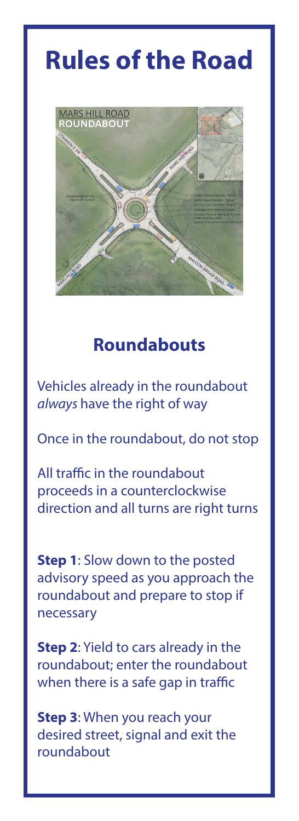# **Rules of the Road**



## **Roundabouts**

Vehicles already in the roundabout *always* have the right of way

Once in the roundabout, do not stop

All traffic in the roundabout proceeds in a counterclockwise direction and all turns are right turns

**Step 1**: Slow down to the posted advisory speed as you approach the roundabout and prepare to stop if necessary

**Step 2**: Yield to cars already in the roundabout; enter the roundabout when there is a safe gap in traffic

**Step 3**: When you reach your desired street, signal and exit the roundabout